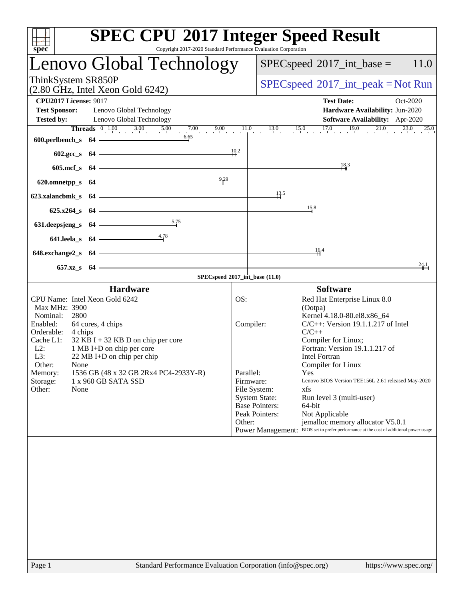| spec <sup>®</sup>                                                                                                                                                                                                                                                                                                                                                                                | <b>SPEC CPU®2017 Integer Speed Result</b><br>Copyright 2017-2020 Standard Performance Evaluation Corporation                                                                                                                                                                                                                                                                                                                                                                                                                                                                                                                                                        |
|--------------------------------------------------------------------------------------------------------------------------------------------------------------------------------------------------------------------------------------------------------------------------------------------------------------------------------------------------------------------------------------------------|---------------------------------------------------------------------------------------------------------------------------------------------------------------------------------------------------------------------------------------------------------------------------------------------------------------------------------------------------------------------------------------------------------------------------------------------------------------------------------------------------------------------------------------------------------------------------------------------------------------------------------------------------------------------|
| Lenovo Global Technology                                                                                                                                                                                                                                                                                                                                                                         | $SPEC speed^{\circ}2017\_int\_base =$<br>11.0                                                                                                                                                                                                                                                                                                                                                                                                                                                                                                                                                                                                                       |
| ThinkSystem SR850P<br>$(2.80 \text{ GHz}, \text{Intel Xeon Gold } 6242)$                                                                                                                                                                                                                                                                                                                         | $SPEC speed^{\circ}2017\_int\_peak = Not Run$                                                                                                                                                                                                                                                                                                                                                                                                                                                                                                                                                                                                                       |
| <b>CPU2017 License: 9017</b><br><b>Test Sponsor:</b><br>Lenovo Global Technology<br><b>Tested by:</b><br>Lenovo Global Technology                                                                                                                                                                                                                                                                | <b>Test Date:</b><br>Oct-2020<br>Hardware Availability: Jun-2020<br>Software Availability: Apr-2020                                                                                                                                                                                                                                                                                                                                                                                                                                                                                                                                                                 |
| $600.$ perlbench_s $64$ $\overline{\phantom{1}}$                                                                                                                                                                                                                                                                                                                                                 | <b>Threads</b> $\begin{bmatrix} 0 & 1.00 & 3.00 & 5.00 & 7.00 & 9.00 & 11.0 & 13.0 & 15.0 & 17.0 & 19.0 & 21.0 & 23.0 & 25.0 \ 0.65 & 0.65 & 0.65 & 0.65 & 0.65 & 0.65 \end{bmatrix}$                                                                                                                                                                                                                                                                                                                                                                                                                                                                               |
| $602.\text{gcc}\,$ 64 $\vdash$<br><u> 1989 - Johann Barn, mars ann an t-Amhain Aonaich an t-Aonaich an t-Aonaich ann an t-Aonaich ann an t-Aonaich</u><br>$605 \text{.mcf}\,$ 64 $\vert$                                                                                                                                                                                                         | $\frac{10}{4}$ <sup>2</sup><br>18,3                                                                                                                                                                                                                                                                                                                                                                                                                                                                                                                                                                                                                                 |
| 620.omnetpp_s 64 $\frac{9.29}{4}$<br>623.xalancbmk_s $64$                                                                                                                                                                                                                                                                                                                                        | $\frac{13.5}{1}$                                                                                                                                                                                                                                                                                                                                                                                                                                                                                                                                                                                                                                                    |
| $625.x264_s$ 64                                                                                                                                                                                                                                                                                                                                                                                  | 15.8                                                                                                                                                                                                                                                                                                                                                                                                                                                                                                                                                                                                                                                                |
| 631.deepsjeng_s $64$ $\overline{\qquad \qquad }$ 5.75<br>641.leela_s 64 $\frac{4.78}{ }$                                                                                                                                                                                                                                                                                                         |                                                                                                                                                                                                                                                                                                                                                                                                                                                                                                                                                                                                                                                                     |
| <u> 1980 - Johann Barn, fransk politik (d. 1980)</u><br>648.exchange2_s $64$<br>657.xz <sub>_8</sub> 64                                                                                                                                                                                                                                                                                          | 16.4<br>24.1                                                                                                                                                                                                                                                                                                                                                                                                                                                                                                                                                                                                                                                        |
|                                                                                                                                                                                                                                                                                                                                                                                                  | SPECspeed®2017_int_base (11.0)                                                                                                                                                                                                                                                                                                                                                                                                                                                                                                                                                                                                                                      |
| <b>Hardware</b><br>CPU Name: Intel Xeon Gold 6242<br>Max MHz: 3900<br>Nominal: 2800<br>Enabled:<br>64 cores, 4 chips<br>Orderable: 4 chips<br>Cache L1: $32$ KB I + 32 KB D on chip per core<br>L2:<br>1 MB I+D on chip per core<br>L3:<br>22 MB I+D on chip per chip<br>Other:<br>None<br>1536 GB (48 x 32 GB 2Rx4 PC4-2933Y-R)<br>Memory:<br>1 x 960 GB SATA SSD<br>Storage:<br>Other:<br>None | <b>Software</b><br>OS:<br>Red Hat Enterprise Linux 8.0<br>(Ootpa)<br>Kernel 4.18.0-80.el8.x86_64<br>$C/C++$ : Version 19.1.1.217 of Intel<br>Compiler:<br>$C/C++$<br>Compiler for Linux;<br>Fortran: Version 19.1.1.217 of<br><b>Intel Fortran</b><br>Compiler for Linux<br>Parallel:<br>Yes<br>Lenovo BIOS Version TEE156L 2.61 released May-2020<br>Firmware:<br>File System:<br>xfs<br><b>System State:</b><br>Run level 3 (multi-user)<br><b>Base Pointers:</b><br>64-bit<br>Peak Pointers:<br>Not Applicable<br>Other:<br>jemalloc memory allocator V5.0.1<br>BIOS set to prefer performance at the cost of additional power usage<br><b>Power Management:</b> |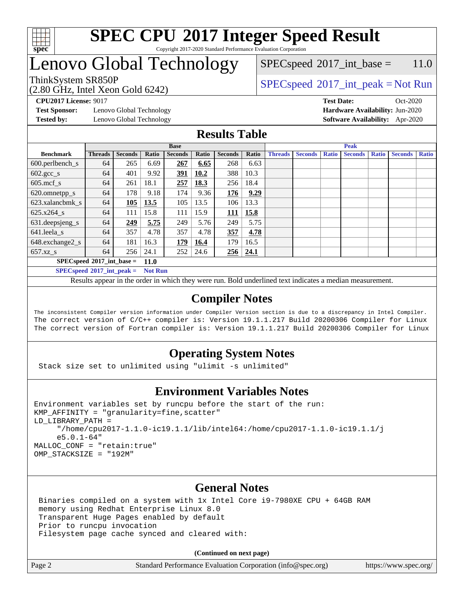

#### **[SPEC CPU](http://www.spec.org/auto/cpu2017/Docs/result-fields.html#SPECCPU2017IntegerSpeedResult)[2017 Integer Speed Result](http://www.spec.org/auto/cpu2017/Docs/result-fields.html#SPECCPU2017IntegerSpeedResult)** Copyright 2017-2020 Standard Performance Evaluation Corporation

### Lenovo Global Technology

(2.80 GHz, Intel Xeon Gold 6242)

ThinkSystem SR850P<br>  $\begin{array}{c}\n\text{SPEC speed} \text{°2017\_int\_peak} = \text{Not Run} \\
\text{SPEC speed} \text{°2017\_int\_peak} = \text{Not Run} \\
\end{array}$  $SPECspeed^{\circ}2017\_int\_base = 11.0$  $SPECspeed^{\circ}2017\_int\_base = 11.0$ 

**[Test Sponsor:](http://www.spec.org/auto/cpu2017/Docs/result-fields.html#TestSponsor)** Lenovo Global Technology **[Hardware Availability:](http://www.spec.org/auto/cpu2017/Docs/result-fields.html#HardwareAvailability)** Jun-2020 **[Tested by:](http://www.spec.org/auto/cpu2017/Docs/result-fields.html#Testedby)** Lenovo Global Technology **[Software Availability:](http://www.spec.org/auto/cpu2017/Docs/result-fields.html#SoftwareAvailability)** Apr-2020

**[CPU2017 License:](http://www.spec.org/auto/cpu2017/Docs/result-fields.html#CPU2017License)** 9017 **[Test Date:](http://www.spec.org/auto/cpu2017/Docs/result-fields.html#TestDate)** Oct-2020

### **[Results Table](http://www.spec.org/auto/cpu2017/Docs/result-fields.html#ResultsTable)**

|                               | <b>Base</b>    |                |              |                |       | <b>Peak</b>    |       |                |                |              |                |              |                |              |
|-------------------------------|----------------|----------------|--------------|----------------|-------|----------------|-------|----------------|----------------|--------------|----------------|--------------|----------------|--------------|
| <b>Benchmark</b>              | <b>Threads</b> | <b>Seconds</b> | <b>Ratio</b> | <b>Seconds</b> | Ratio | <b>Seconds</b> | Ratio | <b>Threads</b> | <b>Seconds</b> | <b>Ratio</b> | <b>Seconds</b> | <b>Ratio</b> | <b>Seconds</b> | <b>Ratio</b> |
| $600.$ perlbench $\mathsf{S}$ | 64             | 265            | 6.69         | 267            | 6.65  | 268            | 6.63  |                |                |              |                |              |                |              |
| $602.\text{gcc}\_\text{s}$    | 64             | 401            | 9.92         | 391            | 10.2  | 388            | 10.3  |                |                |              |                |              |                |              |
| $605$ .mcf s                  | 64             | 261            | 18.1         | 257            | 18.3  | 256            | 18.4  |                |                |              |                |              |                |              |
| 620.omnetpp_s                 | 64             | 178            | 9.18         | 174            | 9.36  | 176            | 9.29  |                |                |              |                |              |                |              |
| 623.xalancbmk s               | 64             | 105            | 13.5         | 105            | 13.5  | 106            | 13.3  |                |                |              |                |              |                |              |
| 625.x264 s                    | 64             | 111            | 15.8         | 111            | 15.9  | 111            | 15.8  |                |                |              |                |              |                |              |
| 631.deepsjeng_s               | 64             | 249            | 5.75         | 249            | 5.76  | 249            | 5.75  |                |                |              |                |              |                |              |
| 641.leela s                   | 64             | 357            | 4.78         | 357            | 4.78  | 357            | 4.78  |                |                |              |                |              |                |              |
| 648.exchange2_s               | 64             | 181            | 16.3         | 179            | 16.4  | 179            | 16.5  |                |                |              |                |              |                |              |
| $657.xz$ s                    | 64             | 256            | 24.1         | 252            | 24.6  | 256            | 24.1  |                |                |              |                |              |                |              |
| $SPECspeed*2017$ int base =   |                |                | <b>11.0</b>  |                |       |                |       |                |                |              |                |              |                |              |

**[SPECspeed](http://www.spec.org/auto/cpu2017/Docs/result-fields.html#SPECspeed2017intpeak)[2017\\_int\\_peak =](http://www.spec.org/auto/cpu2017/Docs/result-fields.html#SPECspeed2017intpeak) Not Run**

Results appear in the [order in which they were run.](http://www.spec.org/auto/cpu2017/Docs/result-fields.html#RunOrder) Bold underlined text [indicates a median measurement.](http://www.spec.org/auto/cpu2017/Docs/result-fields.html#Median)

### **[Compiler Notes](http://www.spec.org/auto/cpu2017/Docs/result-fields.html#CompilerNotes)**

The inconsistent Compiler version information under Compiler Version section is due to a discrepancy in Intel Compiler. The correct version of C/C++ compiler is: Version 19.1.1.217 Build 20200306 Compiler for Linux The correct version of Fortran compiler is: Version 19.1.1.217 Build 20200306 Compiler for Linux

### **[Operating System Notes](http://www.spec.org/auto/cpu2017/Docs/result-fields.html#OperatingSystemNotes)**

Stack size set to unlimited using "ulimit -s unlimited"

### **[Environment Variables Notes](http://www.spec.org/auto/cpu2017/Docs/result-fields.html#EnvironmentVariablesNotes)**

```
Environment variables set by runcpu before the start of the run:
KMP_AFFINITY = "granularity=fine,scatter"
LD_LIBRARY_PATH =
      "/home/cpu2017-1.1.0-ic19.1.1/lib/intel64:/home/cpu2017-1.1.0-ic19.1.1/j
      e5.0.1-64"
MALLOC_CONF = "retain:true"
OMP_STACKSIZE = "192M"
```
### **[General Notes](http://www.spec.org/auto/cpu2017/Docs/result-fields.html#GeneralNotes)**

 Binaries compiled on a system with 1x Intel Core i9-7980XE CPU + 64GB RAM memory using Redhat Enterprise Linux 8.0 Transparent Huge Pages enabled by default Prior to runcpu invocation Filesystem page cache synced and cleared with:

**(Continued on next page)**

Page 2 Standard Performance Evaluation Corporation [\(info@spec.org\)](mailto:info@spec.org) <https://www.spec.org/>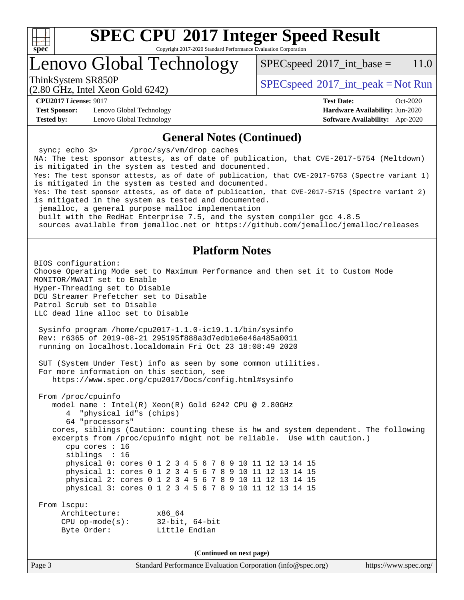

Copyright 2017-2020 Standard Performance Evaluation Corporation

Lenovo Global Technology

 $SPECspeed^{\circ}2017\_int\_base = 11.0$  $SPECspeed^{\circ}2017\_int\_base = 11.0$ 

(2.80 GHz, Intel Xeon Gold 6242)

ThinkSystem SR850P<br>  $\begin{array}{c}\n\text{SPEC speed} \text{°2017\_int\_peak} = \text{Not Run} \\
\text{SPEC speed} \text{°2017\_int\_peak} = \text{Not Run} \\
\end{array}$ 

**[Test Sponsor:](http://www.spec.org/auto/cpu2017/Docs/result-fields.html#TestSponsor)** Lenovo Global Technology **[Hardware Availability:](http://www.spec.org/auto/cpu2017/Docs/result-fields.html#HardwareAvailability)** Jun-2020 **[Tested by:](http://www.spec.org/auto/cpu2017/Docs/result-fields.html#Testedby)** Lenovo Global Technology **[Software Availability:](http://www.spec.org/auto/cpu2017/Docs/result-fields.html#SoftwareAvailability)** Apr-2020

**[CPU2017 License:](http://www.spec.org/auto/cpu2017/Docs/result-fields.html#CPU2017License)** 9017 **[Test Date:](http://www.spec.org/auto/cpu2017/Docs/result-fields.html#TestDate)** Oct-2020

#### **[General Notes \(Continued\)](http://www.spec.org/auto/cpu2017/Docs/result-fields.html#GeneralNotes)**

Page 3 Standard Performance Evaluation Corporation [\(info@spec.org\)](mailto:info@spec.org) <https://www.spec.org/> sync; echo 3> /proc/sys/vm/drop\_caches NA: The test sponsor attests, as of date of publication, that CVE-2017-5754 (Meltdown) is mitigated in the system as tested and documented. Yes: The test sponsor attests, as of date of publication, that CVE-2017-5753 (Spectre variant 1) is mitigated in the system as tested and documented. Yes: The test sponsor attests, as of date of publication, that CVE-2017-5715 (Spectre variant 2) is mitigated in the system as tested and documented. jemalloc, a general purpose malloc implementation built with the RedHat Enterprise 7.5, and the system compiler gcc 4.8.5 sources available from jemalloc.net or<https://github.com/jemalloc/jemalloc/releases> **[Platform Notes](http://www.spec.org/auto/cpu2017/Docs/result-fields.html#PlatformNotes)** BIOS configuration: Choose Operating Mode set to Maximum Performance and then set it to Custom Mode MONITOR/MWAIT set to Enable Hyper-Threading set to Disable DCU Streamer Prefetcher set to Disable Patrol Scrub set to Disable LLC dead line alloc set to Disable Sysinfo program /home/cpu2017-1.1.0-ic19.1.1/bin/sysinfo Rev: r6365 of 2019-08-21 295195f888a3d7edb1e6e46a485a0011 running on localhost.localdomain Fri Oct 23 18:08:49 2020 SUT (System Under Test) info as seen by some common utilities. For more information on this section, see <https://www.spec.org/cpu2017/Docs/config.html#sysinfo> From /proc/cpuinfo model name : Intel(R) Xeon(R) Gold 6242 CPU @ 2.80GHz 4 "physical id"s (chips) 64 "processors" cores, siblings (Caution: counting these is hw and system dependent. The following excerpts from /proc/cpuinfo might not be reliable. Use with caution.) cpu cores : 16 siblings : 16 physical 0: cores 0 1 2 3 4 5 6 7 8 9 10 11 12 13 14 15 physical 1: cores 0 1 2 3 4 5 6 7 8 9 10 11 12 13 14 15 physical 2: cores 0 1 2 3 4 5 6 7 8 9 10 11 12 13 14 15 physical 3: cores 0 1 2 3 4 5 6 7 8 9 10 11 12 13 14 15 From lscpu: Architecture: x86\_64 CPU op-mode(s): 32-bit, 64-bit Byte Order: Little Endian **(Continued on next page)**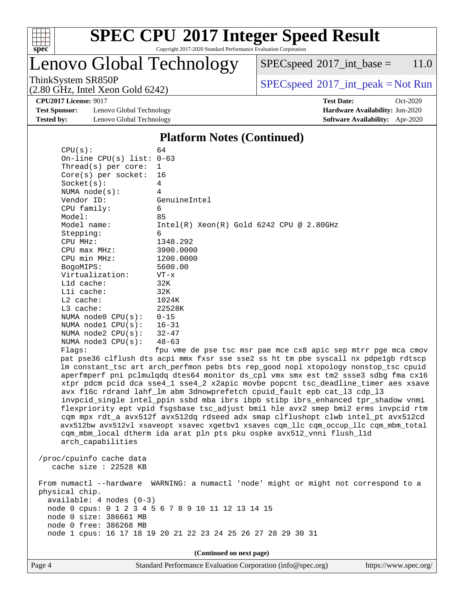

### **[SPEC CPU](http://www.spec.org/auto/cpu2017/Docs/result-fields.html#SPECCPU2017IntegerSpeedResult)[2017 Integer Speed Result](http://www.spec.org/auto/cpu2017/Docs/result-fields.html#SPECCPU2017IntegerSpeedResult)** Copyright 2017-2020 Standard Performance Evaluation Corporation

Lenovo Global Technology

 $SPECspeed^{\circledcirc}2017\_int\_base = 11.0$  $SPECspeed^{\circledcirc}2017\_int\_base = 11.0$ 

(2.80 GHz, Intel Xeon Gold 6242)

 $SPEC speed^{\circ}2017\_int\_peak = Not Run$ 

**[Test Sponsor:](http://www.spec.org/auto/cpu2017/Docs/result-fields.html#TestSponsor)** Lenovo Global Technology **[Hardware Availability:](http://www.spec.org/auto/cpu2017/Docs/result-fields.html#HardwareAvailability)** Jun-2020 **[Tested by:](http://www.spec.org/auto/cpu2017/Docs/result-fields.html#Testedby)** Lenovo Global Technology **[Software Availability:](http://www.spec.org/auto/cpu2017/Docs/result-fields.html#SoftwareAvailability)** Apr-2020

**[CPU2017 License:](http://www.spec.org/auto/cpu2017/Docs/result-fields.html#CPU2017License)** 9017 **[Test Date:](http://www.spec.org/auto/cpu2017/Docs/result-fields.html#TestDate)** Oct-2020

### **[Platform Notes \(Continued\)](http://www.spec.org/auto/cpu2017/Docs/result-fields.html#PlatformNotes)**

| CPU(s):                     | 64                                                                                   |
|-----------------------------|--------------------------------------------------------------------------------------|
| On-line CPU(s) list: $0-63$ |                                                                                      |
| Thread(s) per core:         | $\mathbf{1}$                                                                         |
| $Core(s)$ per socket:       | 16                                                                                   |
| Socket(s):                  | 4                                                                                    |
| NUMA $node(s)$ :            | 4                                                                                    |
| Vendor ID:                  | GenuineIntel                                                                         |
| CPU family:                 | 6                                                                                    |
| Model:                      | 85                                                                                   |
| Model name:                 | $Intel(R)$ Xeon $(R)$ Gold 6242 CPU @ 2.80GHz                                        |
| Stepping:                   | 6                                                                                    |
| CPU MHz:                    | 1348.292                                                                             |
| $CPU$ max $MHz$ :           | 3900.0000                                                                            |
| CPU min MHz:                | 1200.0000                                                                            |
| BogoMIPS:                   | 5600.00                                                                              |
| Virtualization:             | $VT - x$                                                                             |
| L1d cache:                  | 32K                                                                                  |
| Lli cache:                  | 32K                                                                                  |
| L2 cache:                   | 1024K                                                                                |
| $L3$ cache:                 | 22528K                                                                               |
| NUMA $node0$ $CPU(s)$ :     | $0 - 15$                                                                             |
| NUMA $node1$ $CPU(s):$      | $16 - 31$                                                                            |
| NUMA $node2$ $CPU(s):$      | $32 - 47$                                                                            |
| NUMA $node3$ $CPU(s):$      | $48 - 63$                                                                            |
| Flaqs:                      | fpu vme de pse tsc msr pae mce cx8 apic sep mtrr pqe mca cmov                        |
|                             | pat pse36 clflush dts acpi mmx fxsr sse sse2 ss ht tm pbe syscall nx pdpelgb rdtscp  |
|                             | lm constant_tsc art arch_perfmon pebs bts rep_good nopl xtopology nonstop_tsc cpuid  |
|                             | aperfmperf pni pclmulqdq dtes64 monitor ds_cpl vmx smx est tm2 ssse3 sdbg fma cx16   |
|                             | xtpr pdcm pcid dca sse4_1 sse4_2 x2apic movbe popcnt tsc_deadline_timer aes xsave    |
|                             | avx f16c rdrand lahf_lm abm 3dnowprefetch cpuid_fault epb cat_13 cdp_13              |
|                             | invpcid_single intel_ppin ssbd mba ibrs ibpb stibp ibrs_enhanced tpr_shadow vnmi     |
|                             | flexpriority ept vpid fsgsbase tsc_adjust bmil hle avx2 smep bmi2 erms invpcid rtm   |
|                             | cqm mpx rdt_a avx512f avx512dq rdseed adx smap clflushopt clwb intel_pt avx512cd     |
|                             | avx512bw avx512vl xsaveopt xsavec xgetbvl xsaves cqm_llc cqm_occup_llc cqm_mbm_total |
|                             | cqm_mbm_local dtherm ida arat pln pts pku ospke avx512_vnni flush_l1d                |
| arch_capabilities           |                                                                                      |
|                             |                                                                                      |
| /proc/cpuinfo cache data    |                                                                                      |
| cache size : $22528$ KB     |                                                                                      |
|                             | From numactl --hardware WARNING: a numactl 'node' might or might not correspond to a |
| physical chip.              |                                                                                      |
| available: 4 nodes (0-3)    |                                                                                      |
|                             | node 0 cpus: 0 1 2 3 4 5 6 7 8 9 10 11 12 13 14 15                                   |
| node 0 size: 386661 MB      |                                                                                      |
| node 0 free: 386268 MB      |                                                                                      |
|                             | node 1 cpus: 16 17 18 19 20 21 22 23 24 25 26 27 28 29 30 31                         |
|                             |                                                                                      |

**(Continued on next page)**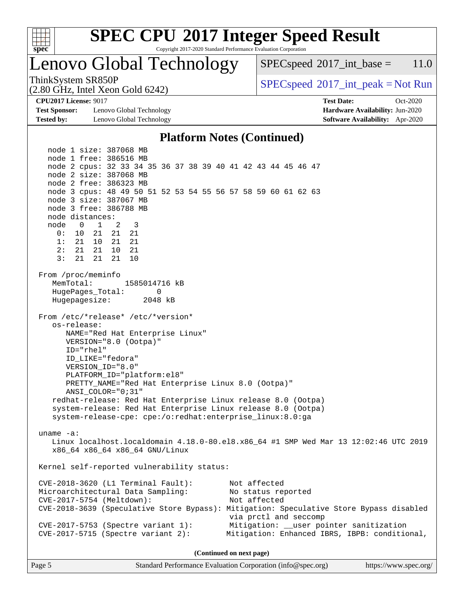

Copyright 2017-2020 Standard Performance Evaluation Corporation

### Lenovo Global Technology

 $SPECspeed^{\circ}2017\_int\_base = 11.0$  $SPECspeed^{\circ}2017\_int\_base = 11.0$ 

ThinkSystem SR850P<br>  $\begin{array}{c}\n\text{SPEC speed} \text{°2017\_int\_peak} = \text{Not Run} \\
\text{SPEC speed} \text{°2017\_int\_peak} = \text{Not Run} \\
\end{array}$ 

**[Test Sponsor:](http://www.spec.org/auto/cpu2017/Docs/result-fields.html#TestSponsor)** Lenovo Global Technology **[Hardware Availability:](http://www.spec.org/auto/cpu2017/Docs/result-fields.html#HardwareAvailability)** Jun-2020 **[Tested by:](http://www.spec.org/auto/cpu2017/Docs/result-fields.html#Testedby)** Lenovo Global Technology **[Software Availability:](http://www.spec.org/auto/cpu2017/Docs/result-fields.html#SoftwareAvailability)** Apr-2020

(2.80 GHz, Intel Xeon Gold 6242)

**[CPU2017 License:](http://www.spec.org/auto/cpu2017/Docs/result-fields.html#CPU2017License)** 9017 **[Test Date:](http://www.spec.org/auto/cpu2017/Docs/result-fields.html#TestDate)** Oct-2020

### **[Platform Notes \(Continued\)](http://www.spec.org/auto/cpu2017/Docs/result-fields.html#PlatformNotes)**

 node 1 size: 387068 MB node 1 free: 386516 MB node 2 cpus: 32 33 34 35 36 37 38 39 40 41 42 43 44 45 46 47 node 2 size: 387068 MB node 2 free: 386323 MB node 3 cpus: 48 49 50 51 52 53 54 55 56 57 58 59 60 61 62 63 node 3 size: 387067 MB node 3 free: 386788 MB node distances: node 0 1 2 3 0: 10 21 21 21 1: 21 10 21 21 2: 21 21 10 21 3: 21 21 21 10 From /proc/meminfo MemTotal: 1585014716 kB HugePages\_Total: 0 Hugepagesize: 2048 kB From /etc/\*release\* /etc/\*version\* os-release: NAME="Red Hat Enterprise Linux" VERSION="8.0 (Ootpa)" ID="rhel" ID\_LIKE="fedora" VERSION\_ID="8.0" PLATFORM\_ID="platform:el8" PRETTY\_NAME="Red Hat Enterprise Linux 8.0 (Ootpa)" ANSI\_COLOR="0;31" redhat-release: Red Hat Enterprise Linux release 8.0 (Ootpa) system-release: Red Hat Enterprise Linux release 8.0 (Ootpa) system-release-cpe: cpe:/o:redhat:enterprise\_linux:8.0:ga uname -a: Linux localhost.localdomain 4.18.0-80.el8.x86\_64 #1 SMP Wed Mar 13 12:02:46 UTC 2019 x86\_64 x86\_64 x86\_64 GNU/Linux Kernel self-reported vulnerability status: CVE-2018-3620 (L1 Terminal Fault): Not affected Microarchitectural Data Sampling: No status reported CVE-2017-5754 (Meltdown): Not affected CVE-2018-3639 (Speculative Store Bypass): Mitigation: Speculative Store Bypass disabled via prctl and seccomp CVE-2017-5753 (Spectre variant 1): Mitigation: \_\_user pointer sanitization CVE-2017-5715 (Spectre variant 2): Mitigation: Enhanced IBRS, IBPB: conditional,

**(Continued on next page)**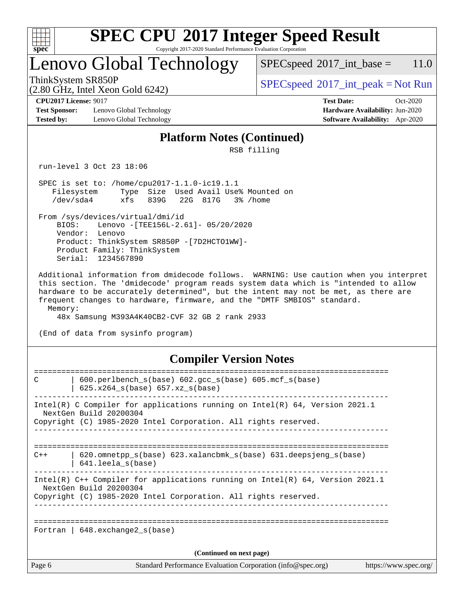

Copyright 2017-2020 Standard Performance Evaluation Corporation

### Lenovo Global Technology

 $SPECspeed^{\circ}2017\_int\_base = 11.0$  $SPECspeed^{\circ}2017\_int\_base = 11.0$ 

(2.80 GHz, Intel Xeon Gold 6242)

ThinkSystem SR850P<br>  $SPECspeed^{\circ}2017\_int\_peak = Not Run$  $SPECspeed^{\circ}2017\_int\_peak = Not Run$ 

**[Test Sponsor:](http://www.spec.org/auto/cpu2017/Docs/result-fields.html#TestSponsor)** Lenovo Global Technology **[Hardware Availability:](http://www.spec.org/auto/cpu2017/Docs/result-fields.html#HardwareAvailability)** Jun-2020 **[Tested by:](http://www.spec.org/auto/cpu2017/Docs/result-fields.html#Testedby)** Lenovo Global Technology **[Software Availability:](http://www.spec.org/auto/cpu2017/Docs/result-fields.html#SoftwareAvailability)** Apr-2020

**[CPU2017 License:](http://www.spec.org/auto/cpu2017/Docs/result-fields.html#CPU2017License)** 9017 **[Test Date:](http://www.spec.org/auto/cpu2017/Docs/result-fields.html#TestDate)** Oct-2020

#### **[Platform Notes \(Continued\)](http://www.spec.org/auto/cpu2017/Docs/result-fields.html#PlatformNotes)**

RSB filling

run-level 3 Oct 23 18:06

 SPEC is set to: /home/cpu2017-1.1.0-ic19.1.1 Filesystem Type Size Used Avail Use% Mounted on /dev/sda4 xfs 839G 22G 817G 3% /home

 From /sys/devices/virtual/dmi/id BIOS: Lenovo -[TEE156L-2.61]- 05/20/2020 Vendor: Lenovo Product: ThinkSystem SR850P -[7D2HCTO1WW]- Product Family: ThinkSystem Serial: 1234567890

 Additional information from dmidecode follows. WARNING: Use caution when you interpret this section. The 'dmidecode' program reads system data which is "intended to allow hardware to be accurately determined", but the intent may not be met, as there are frequent changes to hardware, firmware, and the "DMTF SMBIOS" standard. Memory:

48x Samsung M393A4K40CB2-CVF 32 GB 2 rank 2933

(End of data from sysinfo program)

### **[Compiler Version Notes](http://www.spec.org/auto/cpu2017/Docs/result-fields.html#CompilerVersionNotes)**

| $600.$ perlbench $s(base)$ $602.$ qcc $s(base)$ $605.$ mcf $s(base)$<br>C<br>$625.x264_s(base) 657.xz_s(base)$<br>Intel(R) C Compiler for applications running on $Intel(R)$ 64, Version 2021.1<br>NextGen Build 20200304<br>Copyright (C) 1985-2020 Intel Corporation. All rights reserved.<br>$620$ .omnetpp $s(base)$ 623.xalancbmk $s(base)$ 631.deepsjeng $s(base)$<br>$C++$<br>641.leela s(base)<br>Intel(R) $C++$ Compiler for applications running on Intel(R) 64, Version 2021.1<br>NextGen Build 20200304<br>Copyright (C) 1985-2020 Intel Corporation. All rights reserved.<br>Fortran   648.exchange2_s(base)<br>(Continued on next page) | Page 6 | Standard Performance Evaluation Corporation (info@spec.org) | https://www.spec.org/ |
|-------------------------------------------------------------------------------------------------------------------------------------------------------------------------------------------------------------------------------------------------------------------------------------------------------------------------------------------------------------------------------------------------------------------------------------------------------------------------------------------------------------------------------------------------------------------------------------------------------------------------------------------------------|--------|-------------------------------------------------------------|-----------------------|
|                                                                                                                                                                                                                                                                                                                                                                                                                                                                                                                                                                                                                                                       |        |                                                             |                       |
|                                                                                                                                                                                                                                                                                                                                                                                                                                                                                                                                                                                                                                                       |        |                                                             |                       |
|                                                                                                                                                                                                                                                                                                                                                                                                                                                                                                                                                                                                                                                       |        |                                                             |                       |
|                                                                                                                                                                                                                                                                                                                                                                                                                                                                                                                                                                                                                                                       |        |                                                             |                       |
|                                                                                                                                                                                                                                                                                                                                                                                                                                                                                                                                                                                                                                                       |        |                                                             |                       |
|                                                                                                                                                                                                                                                                                                                                                                                                                                                                                                                                                                                                                                                       |        |                                                             |                       |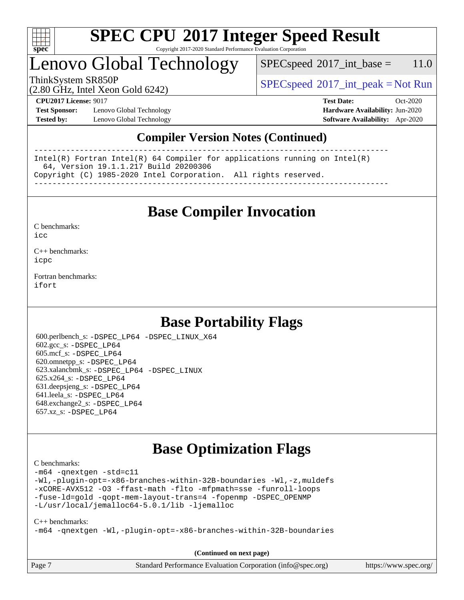

Copyright 2017-2020 Standard Performance Evaluation Corporation

### Lenovo Global Technology

 $SPECspeed^{\circ}2017\_int\_base = 11.0$  $SPECspeed^{\circ}2017\_int\_base = 11.0$ 

ThinkSystem SR850P<br>  $\begin{array}{c}\n\text{SPEC speed} \text{°2017\_int\_peak} = \text{Not Run} \\
\text{SPEC speed} \text{°2017\_int\_peak} = \text{Not Run} \\
\end{array}$ 

(2.80 GHz, Intel Xeon Gold 6242)

**[Test Sponsor:](http://www.spec.org/auto/cpu2017/Docs/result-fields.html#TestSponsor)** Lenovo Global Technology **[Hardware Availability:](http://www.spec.org/auto/cpu2017/Docs/result-fields.html#HardwareAvailability)** Jun-2020 **[Tested by:](http://www.spec.org/auto/cpu2017/Docs/result-fields.html#Testedby)** Lenovo Global Technology **[Software Availability:](http://www.spec.org/auto/cpu2017/Docs/result-fields.html#SoftwareAvailability)** Apr-2020

**[CPU2017 License:](http://www.spec.org/auto/cpu2017/Docs/result-fields.html#CPU2017License)** 9017 **[Test Date:](http://www.spec.org/auto/cpu2017/Docs/result-fields.html#TestDate)** Oct-2020

### **[Compiler Version Notes \(Continued\)](http://www.spec.org/auto/cpu2017/Docs/result-fields.html#CompilerVersionNotes)**

------------------------------------------------------------------------------ Intel(R) Fortran Intel(R) 64 Compiler for applications running on Intel(R) 64, Version 19.1.1.217 Build 20200306 Copyright (C) 1985-2020 Intel Corporation. All rights reserved. ------------------------------------------------------------------------------

**[Base Compiler Invocation](http://www.spec.org/auto/cpu2017/Docs/result-fields.html#BaseCompilerInvocation)**

[C benchmarks](http://www.spec.org/auto/cpu2017/Docs/result-fields.html#Cbenchmarks):  $i$ cc

[C++ benchmarks:](http://www.spec.org/auto/cpu2017/Docs/result-fields.html#CXXbenchmarks) [icpc](http://www.spec.org/cpu2017/results/res2020q4/cpu2017-20201026-24285.flags.html#user_CXXbase_intel_icpc_c510b6838c7f56d33e37e94d029a35b4a7bccf4766a728ee175e80a419847e808290a9b78be685c44ab727ea267ec2f070ec5dc83b407c0218cded6866a35d07)

[Fortran benchmarks](http://www.spec.org/auto/cpu2017/Docs/result-fields.html#Fortranbenchmarks): [ifort](http://www.spec.org/cpu2017/results/res2020q4/cpu2017-20201026-24285.flags.html#user_FCbase_intel_ifort_8111460550e3ca792625aed983ce982f94888b8b503583aa7ba2b8303487b4d8a21a13e7191a45c5fd58ff318f48f9492884d4413fa793fd88dd292cad7027ca)

### **[Base Portability Flags](http://www.spec.org/auto/cpu2017/Docs/result-fields.html#BasePortabilityFlags)**

 600.perlbench\_s: [-DSPEC\\_LP64](http://www.spec.org/cpu2017/results/res2020q4/cpu2017-20201026-24285.flags.html#b600.perlbench_s_basePORTABILITY_DSPEC_LP64) [-DSPEC\\_LINUX\\_X64](http://www.spec.org/cpu2017/results/res2020q4/cpu2017-20201026-24285.flags.html#b600.perlbench_s_baseCPORTABILITY_DSPEC_LINUX_X64) 602.gcc\_s: [-DSPEC\\_LP64](http://www.spec.org/cpu2017/results/res2020q4/cpu2017-20201026-24285.flags.html#suite_basePORTABILITY602_gcc_s_DSPEC_LP64) 605.mcf\_s: [-DSPEC\\_LP64](http://www.spec.org/cpu2017/results/res2020q4/cpu2017-20201026-24285.flags.html#suite_basePORTABILITY605_mcf_s_DSPEC_LP64) 620.omnetpp\_s: [-DSPEC\\_LP64](http://www.spec.org/cpu2017/results/res2020q4/cpu2017-20201026-24285.flags.html#suite_basePORTABILITY620_omnetpp_s_DSPEC_LP64) 623.xalancbmk\_s: [-DSPEC\\_LP64](http://www.spec.org/cpu2017/results/res2020q4/cpu2017-20201026-24285.flags.html#suite_basePORTABILITY623_xalancbmk_s_DSPEC_LP64) [-DSPEC\\_LINUX](http://www.spec.org/cpu2017/results/res2020q4/cpu2017-20201026-24285.flags.html#b623.xalancbmk_s_baseCXXPORTABILITY_DSPEC_LINUX) 625.x264\_s: [-DSPEC\\_LP64](http://www.spec.org/cpu2017/results/res2020q4/cpu2017-20201026-24285.flags.html#suite_basePORTABILITY625_x264_s_DSPEC_LP64) 631.deepsjeng\_s: [-DSPEC\\_LP64](http://www.spec.org/cpu2017/results/res2020q4/cpu2017-20201026-24285.flags.html#suite_basePORTABILITY631_deepsjeng_s_DSPEC_LP64) 641.leela\_s: [-DSPEC\\_LP64](http://www.spec.org/cpu2017/results/res2020q4/cpu2017-20201026-24285.flags.html#suite_basePORTABILITY641_leela_s_DSPEC_LP64) 648.exchange2\_s: [-DSPEC\\_LP64](http://www.spec.org/cpu2017/results/res2020q4/cpu2017-20201026-24285.flags.html#suite_basePORTABILITY648_exchange2_s_DSPEC_LP64) 657.xz\_s: [-DSPEC\\_LP64](http://www.spec.org/cpu2017/results/res2020q4/cpu2017-20201026-24285.flags.html#suite_basePORTABILITY657_xz_s_DSPEC_LP64)

### **[Base Optimization Flags](http://www.spec.org/auto/cpu2017/Docs/result-fields.html#BaseOptimizationFlags)**

[C benchmarks](http://www.spec.org/auto/cpu2017/Docs/result-fields.html#Cbenchmarks):

[-m64](http://www.spec.org/cpu2017/results/res2020q4/cpu2017-20201026-24285.flags.html#user_CCbase_m64-icc) [-qnextgen](http://www.spec.org/cpu2017/results/res2020q4/cpu2017-20201026-24285.flags.html#user_CCbase_f-qnextgen) [-std=c11](http://www.spec.org/cpu2017/results/res2020q4/cpu2017-20201026-24285.flags.html#user_CCbase_std-icc-std_0e1c27790398a4642dfca32ffe6c27b5796f9c2d2676156f2e42c9c44eaad0c049b1cdb667a270c34d979996257aeb8fc440bfb01818dbc9357bd9d174cb8524) [-Wl,-plugin-opt=-x86-branches-within-32B-boundaries](http://www.spec.org/cpu2017/results/res2020q4/cpu2017-20201026-24285.flags.html#user_CCbase_f-x86-branches-within-32B-boundaries_0098b4e4317ae60947b7b728078a624952a08ac37a3c797dfb4ffeb399e0c61a9dd0f2f44ce917e9361fb9076ccb15e7824594512dd315205382d84209e912f3) [-Wl,-z,muldefs](http://www.spec.org/cpu2017/results/res2020q4/cpu2017-20201026-24285.flags.html#user_CCbase_link_force_multiple1_b4cbdb97b34bdee9ceefcfe54f4c8ea74255f0b02a4b23e853cdb0e18eb4525ac79b5a88067c842dd0ee6996c24547a27a4b99331201badda8798ef8a743f577) [-xCORE-AVX512](http://www.spec.org/cpu2017/results/res2020q4/cpu2017-20201026-24285.flags.html#user_CCbase_f-xCORE-AVX512) [-O3](http://www.spec.org/cpu2017/results/res2020q4/cpu2017-20201026-24285.flags.html#user_CCbase_f-O3) [-ffast-math](http://www.spec.org/cpu2017/results/res2020q4/cpu2017-20201026-24285.flags.html#user_CCbase_f-ffast-math) [-flto](http://www.spec.org/cpu2017/results/res2020q4/cpu2017-20201026-24285.flags.html#user_CCbase_f-flto) [-mfpmath=sse](http://www.spec.org/cpu2017/results/res2020q4/cpu2017-20201026-24285.flags.html#user_CCbase_f-mfpmath_70eb8fac26bde974f8ab713bc9086c5621c0b8d2f6c86f38af0bd7062540daf19db5f3a066d8c6684be05d84c9b6322eb3b5be6619d967835195b93d6c02afa1) [-funroll-loops](http://www.spec.org/cpu2017/results/res2020q4/cpu2017-20201026-24285.flags.html#user_CCbase_f-funroll-loops) [-fuse-ld=gold](http://www.spec.org/cpu2017/results/res2020q4/cpu2017-20201026-24285.flags.html#user_CCbase_f-fuse-ld_920b3586e2b8c6e0748b9c84fa9b744736ba725a32cab14ad8f3d4ad28eecb2f59d1144823d2e17006539a88734fe1fc08fc3035f7676166309105a78aaabc32) [-qopt-mem-layout-trans=4](http://www.spec.org/cpu2017/results/res2020q4/cpu2017-20201026-24285.flags.html#user_CCbase_f-qopt-mem-layout-trans_fa39e755916c150a61361b7846f310bcdf6f04e385ef281cadf3647acec3f0ae266d1a1d22d972a7087a248fd4e6ca390a3634700869573d231a252c784941a8) [-fopenmp](http://www.spec.org/cpu2017/results/res2020q4/cpu2017-20201026-24285.flags.html#user_CCbase_fopenmp_5aa2e47ce4f2ef030ba5d12d5a7a9c4e57167333d78243fcadb80b48d5abb78ff19333f8478e0b2a41e63049eb285965c145ccab7b93db7d0c4d59e4dc6f5591) [-DSPEC\\_OPENMP](http://www.spec.org/cpu2017/results/res2020q4/cpu2017-20201026-24285.flags.html#suite_CCbase_DSPEC_OPENMP) [-L/usr/local/jemalloc64-5.0.1/lib](http://www.spec.org/cpu2017/results/res2020q4/cpu2017-20201026-24285.flags.html#user_CCbase_jemalloc_link_path64_1_cc289568b1a6c0fd3b62c91b824c27fcb5af5e8098e6ad028160d21144ef1b8aef3170d2acf0bee98a8da324cfe4f67d0a3d0c4cc4673d993d694dc2a0df248b) [-ljemalloc](http://www.spec.org/cpu2017/results/res2020q4/cpu2017-20201026-24285.flags.html#user_CCbase_jemalloc_link_lib_d1249b907c500fa1c0672f44f562e3d0f79738ae9e3c4a9c376d49f265a04b9c99b167ecedbf6711b3085be911c67ff61f150a17b3472be731631ba4d0471706)

[C++ benchmarks:](http://www.spec.org/auto/cpu2017/Docs/result-fields.html#CXXbenchmarks)

[-m64](http://www.spec.org/cpu2017/results/res2020q4/cpu2017-20201026-24285.flags.html#user_CXXbase_m64-icc) [-qnextgen](http://www.spec.org/cpu2017/results/res2020q4/cpu2017-20201026-24285.flags.html#user_CXXbase_f-qnextgen) [-Wl,-plugin-opt=-x86-branches-within-32B-boundaries](http://www.spec.org/cpu2017/results/res2020q4/cpu2017-20201026-24285.flags.html#user_CXXbase_f-x86-branches-within-32B-boundaries_0098b4e4317ae60947b7b728078a624952a08ac37a3c797dfb4ffeb399e0c61a9dd0f2f44ce917e9361fb9076ccb15e7824594512dd315205382d84209e912f3)

Page 7 Standard Performance Evaluation Corporation [\(info@spec.org\)](mailto:info@spec.org) <https://www.spec.org/> **(Continued on next page)**